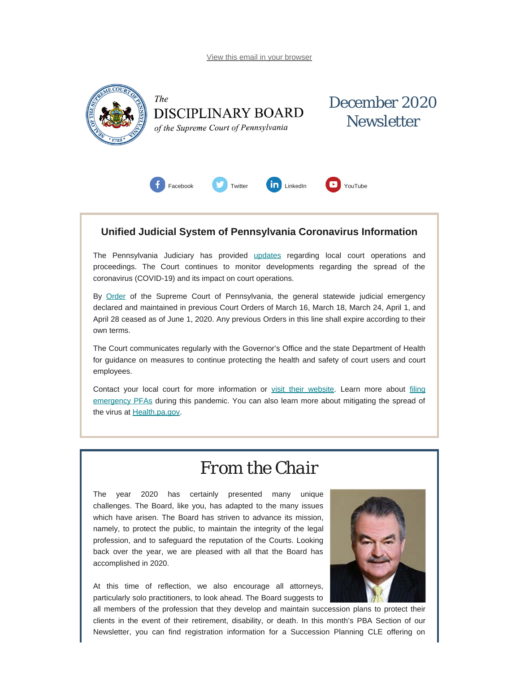<span id="page-0-0"></span>

### **Unified Judicial System of Pennsylvania Coronavirus Information**

The Pennsylvania Judiciary has provided [updates](http://www.pacourts.us/ujs-coronavirus-information) regarding local court operations and proceedings. The Court continues to monitor developments regarding the spread of the coronavirus (COVID-19) and its impact on court operations.

By [Order](http://www.pacourts.us/assets/files/page-1305/file-9376.pdf) of the Supreme Court of Pennsylvania, the general statewide judicial emergency declared and maintained in previous Court Orders of March 16, March 18, March 24, April 1, and April 28 ceased as of June 1, 2020. Any previous Orders in this line shall expire according to their own terms.

The Court communicates regularly with the Governor's Office and the state Department of Health for guidance on measures to continue protecting the health and safety of court users and court employees.

Contact your local court for more information or [visit their website.](http://www.pacourts.us/courts/courts-of-common-pleas/) Learn more about [filing](http://www.pacourts.us/learn/protection-orders) [emergency PFAs](http://www.pacourts.us/learn/protection-orders) during this pandemic. You can also learn more about mitigating the spread of the virus at [Health.pa.gov.](https://www.health.pa.gov/topics/disease/Pages/Coronavirus.aspx)

## *From the Chair*

The year 2020 has certainly presented many unique challenges. The Board, like you, has adapted to the many issues which have arisen. The Board has striven to advance its mission, namely, to protect the public, to maintain the integrity of the legal profession, and to safeguard the reputation of the Courts. Looking back over the year, we are pleased with all that the Board has accomplished in 2020.

At this time of reflection, we also encourage all attorneys, particularly solo practitioners, to look ahead. The Board suggests to



all members of the profession that they develop and maintain succession plans to protect their clients in the event of their retirement, disability, or death. In this month's PBA Section of our Newsletter, you can find registration information for a Succession Planning CLE offering on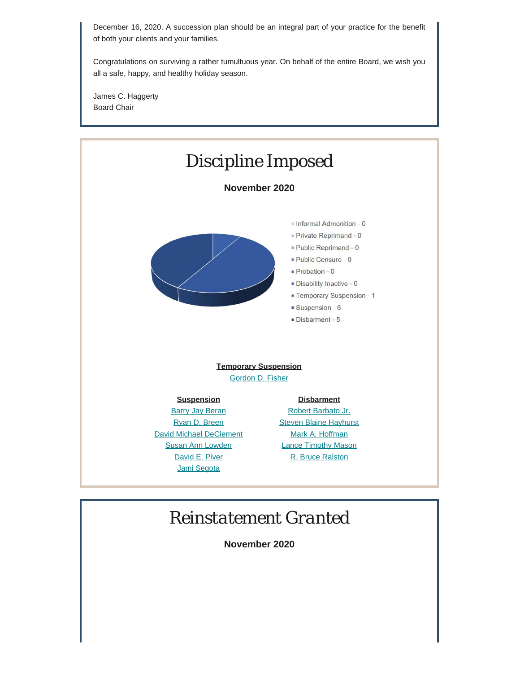December 16, 2020. A succession plan should be an integral part of your practice for the benefit of both your clients and your families.

Congratulations on surviving a rather tumultuous year. On behalf of the entire Board, we wish you all a safe, happy, and healthy holiday season.

James C. Haggerty Board Chair



# *Reinstatement Granted*

**November 2020**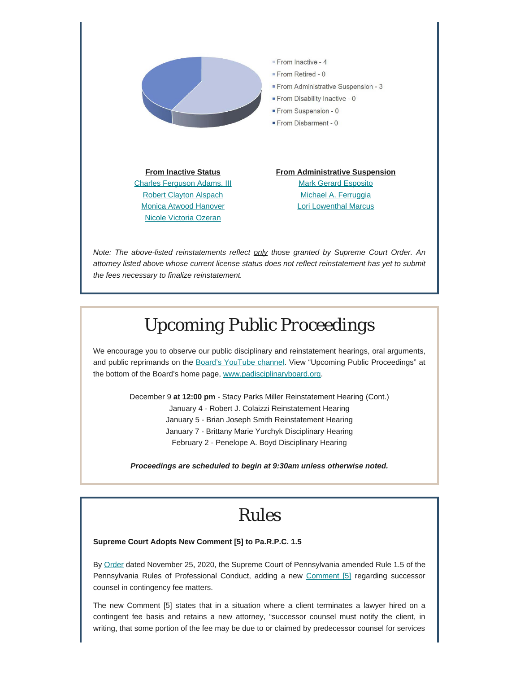

*Note: The above-listed reinstatements reflect only those granted by Supreme Court Order. An attorney listed above whose current license status does not reflect reinstatement has yet to submit the fees necessary to finalize reinstatement.*

# *Upcoming Public Proceedings*

We encourage you to observe our public disciplinary and reinstatement hearings, oral arguments, and public reprimands on the [Board's YouTube channel.](https://www.youtube.com/channel/UC7Rzfgcm91b2y3TRTXAViHw) View "Upcoming Public Proceedings" at the bottom of the Board's home page, [www.padisciplinaryboard.org.](https://www.padisciplinaryboard.org/)

> December 9 **at 12:00 pm** - Stacy Parks Miller Reinstatement Hearing (Cont.) January 4 - Robert J. Colaizzi Reinstatement Hearing January 5 - Brian Joseph Smith Reinstatement Hearing January 7 - Brittany Marie Yurchyk Disciplinary Hearing February 2 - Penelope A. Boyd Disciplinary Hearing

> *Proceedings are scheduled to begin at 9:30am unless otherwise noted.*

## *Rules*

### **Supreme Court Adopts New Comment [5] to Pa.R.P.C. 1.5**

By [Order](http://www.pacourts.us/assets/opinions/Supreme/out/Order%20Entered%20-%20104616970120747310.pdf?cb=1) dated November 25, 2020, the Supreme Court of Pennsylvania amended Rule 1.5 of the Pennsylvania Rules of Professional Conduct, adding a new [Comment](http://www.pacourts.us/assets/opinions/Supreme/out/Attachment%20-%20104616970120747196.pdf?cb=1) [5] regarding successor counsel in contingency fee matters.

The new Comment [5] states that in a situation where a client terminates a lawyer hired on a contingent fee basis and retains a new attorney, "successor counsel must notify the client, in writing, that some portion of the fee may be due to or claimed by predecessor counsel for services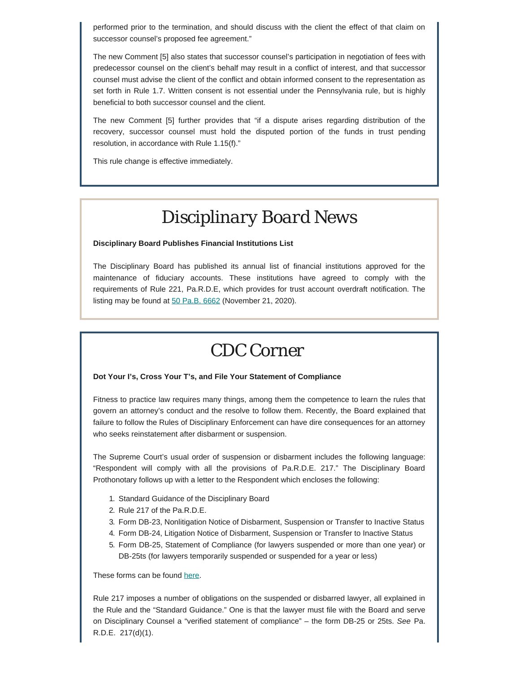performed prior to the termination, and should discuss with the client the effect of that claim on successor counsel's proposed fee agreement."

The new Comment [5] also states that successor counsel's participation in negotiation of fees with predecessor counsel on the client's behalf may result in a conflict of interest, and that successor counsel must advise the client of the conflict and obtain informed consent to the representation as set forth in Rule 1.7. Written consent is not essential under the Pennsylvania rule, but is highly beneficial to both successor counsel and the client.

The new Comment [5] further provides that "if a dispute arises regarding distribution of the recovery, successor counsel must hold the disputed portion of the funds in trust pending resolution, in accordance with Rule 1.15(f)."

This rule change is effective immediately.

# *Disciplinary Board News*

### **Disciplinary Board Publishes Financial Institutions List**

The Disciplinary Board has published its annual list of financial institutions approved for the maintenance of fiduciary accounts. These institutions have agreed to comply with the requirements of Rule 221, Pa.R.D.E, which provides for trust account overdraft notification. The listing may be found at [50 Pa.B. 6662](http://www.pacodeandbulletin.gov/Display/pabull?file=/secure/pabulletin/data/vol50/50-47/1605.html) (November 21, 2020).

## *CDC Corner*

#### **Dot Your I's, Cross Your T's, and File Your Statement of Compliance**

Fitness to practice law requires many things, among them the competence to learn the rules that govern an attorney's conduct and the resolve to follow them. Recently, the Board explained that failure to follow the Rules of Disciplinary Enforcement can have dire consequences for an attorney who seeks reinstatement after disbarment or suspension.

The Supreme Court's usual order of suspension or disbarment includes the following language: "Respondent will comply with all the provisions of Pa.R.D.E. 217." The Disciplinary Board Prothonotary follows up with a letter to the Respondent which encloses the following:

- 1. Standard Guidance of the Disciplinary Board
- 2. Rule 217 of the Pa.R.D.E.
- 3. Form DB-23, Nonlitigation Notice of Disbarment, Suspension or Transfer to Inactive Status
- 4. Form DB-24, Litigation Notice of Disbarment, Suspension or Transfer to Inactive Status
- 5. Form DB-25, Statement of Compliance (for lawyers suspended or more than one year) or DB-25ts (for lawyers temporarily suspended or suspended for a year or less)

These forms can be found [here](https://www.padisciplinaryboard.org/for-attorneys/forms).

Rule 217 imposes a number of obligations on the suspended or disbarred lawyer, all explained in the Rule and the "Standard Guidance." One is that the lawyer must file with the Board and serve on Disciplinary Counsel a "verified statement of compliance" – the form DB-25 or 25ts. *See* Pa. R.D.E. 217(d)(1).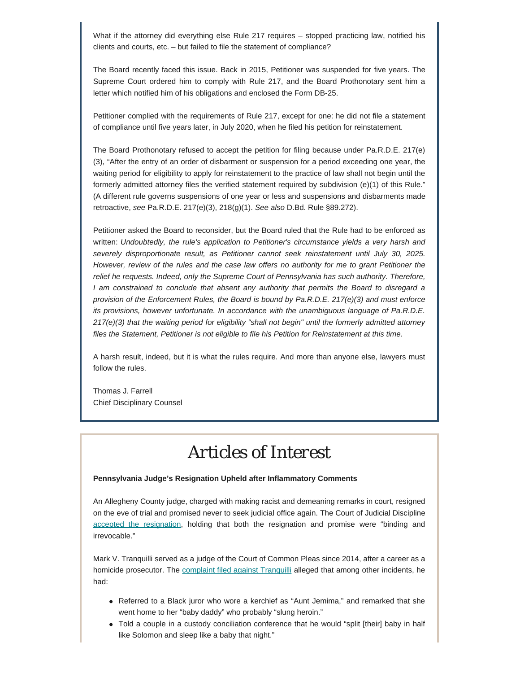What if the attorney did everything else Rule 217 requires – stopped practicing law, notified his clients and courts, etc. – but failed to file the statement of compliance?

The Board recently faced this issue. Back in 2015, Petitioner was suspended for five years. The Supreme Court ordered him to comply with Rule 217, and the Board Prothonotary sent him a letter which notified him of his obligations and enclosed the Form DB-25.

Petitioner complied with the requirements of Rule 217, except for one: he did not file a statement of compliance until five years later, in July 2020, when he filed his petition for reinstatement.

The Board Prothonotary refused to accept the petition for filing because under Pa.R.D.E. 217(e) (3), "After the entry of an order of disbarment or suspension for a period exceeding one year, the waiting period for eligibility to apply for reinstatement to the practice of law shall not begin until the formerly admitted attorney files the verified statement required by subdivision (e)(1) of this Rule." (A different rule governs suspensions of one year or less and suspensions and disbarments made retroactive, *see* Pa.R.D.E. 217(e)(3), 218(g)(1). *See also* D.Bd. Rule §89.272).

Petitioner asked the Board to reconsider, but the Board ruled that the Rule had to be enforced as written: *Undoubtedly, the rule's application to Petitioner's circumstance yields a very harsh and severely disproportionate result, as Petitioner cannot seek reinstatement until July 30, 2025. However, review of the rules and the case law offers no authority for me to grant Petitioner the relief he requests. Indeed, only the Supreme Court of Pennsylvania has such authority. Therefore, I am constrained to conclude that absent any authority that permits the Board to disregard a provision of the Enforcement Rules, the Board is bound by Pa.R.D.E. 217(e)(3) and must enforce its provisions, however unfortunate. In accordance with the unambiguous language of Pa.R.D.E. 217(e)(3) that the waiting period for eligibility "shall not begin" until the formerly admitted attorney files the Statement, Petitioner is not eligible to file his Petition for Reinstatement at this time.*

A harsh result, indeed, but it is what the rules require. And more than anyone else, lawyers must follow the rules.

Thomas J. Farrell Chief Disciplinary Counsel

## *Articles of Interest*

### **Pennsylvania Judge's Resignation Upheld after Inflammatory Comments**

An Allegheny County judge, charged with making racist and demeaning remarks in court, resigned on the eve of trial and promised never to seek judicial office again. The Court of Judicial Discipline [accepted the resignation](http://www.pacourts.us/assets/files/setting-7555/file-10619.pdf?cb=f5a4c7), holding that both the resignation and promise were "binding and irrevocable."

Mark V. Tranquilli served as a judge of the Court of Common Pleas since 2014, after a career as a homicide prosecutor. The [complaint filed against Tranquilli](http://judicialconductboardofpa.org/wp-content/uploads/08-12-2020-Press-Release-In-Re-Judge-Mark-V.-Tranquilli-4-JD-2010.pdf#page=8) alleged that among other incidents, he had:

- Referred to a Black juror who wore a kerchief as "Aunt Jemima," and remarked that she went home to her "baby daddy" who probably "slung heroin."
- Told a couple in a custody conciliation conference that he would "split [their] baby in half like Solomon and sleep like a baby that night."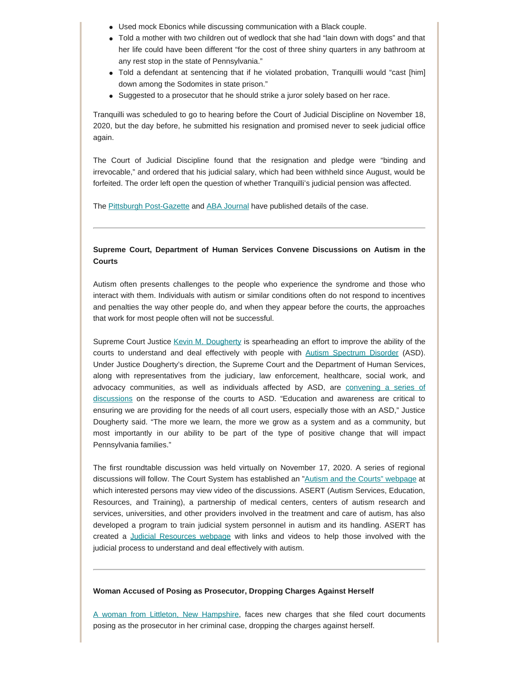- Used mock Ebonics while discussing communication with a Black couple.
- Told a mother with two children out of wedlock that she had "lain down with dogs" and that her life could have been different "for the cost of three shiny quarters in any bathroom at any rest stop in the state of Pennsylvania."
- Told a defendant at sentencing that if he violated probation, Tranquilli would "cast [him] down among the Sodomites in state prison."
- Suggested to a prosecutor that he should strike a juror solely based on her race.

Tranquilli was scheduled to go to hearing before the Court of Judicial Discipline on November 18, 2020, but the day before, he submitted his resignation and promised never to seek judicial office again.

The Court of Judicial Discipline found that the resignation and pledge were "binding and irrevocable," and ordered that his judicial salary, which had been withheld since August, would be forfeited. The order left open the question of whether Tranquilli's judicial pension was affected.

The [Pittsburgh Post-Gazette](https://www.post-gazette.com/news/crime-courts/2020/11/19/pittsburgh-allegheny-county-judge-mark-tranquilli-sanctions-court-discipline-racist-statements-misconduct/stories/202011180142) and [ABA Journal](https://www.abajournal.com/news/article/resignation-of-judge-who-called-juror-aunt-jemima-is-binding-and-irrevocable-judicial-court-says) have published details of the case.

### **Supreme Court, Department of Human Services Convene Discussions on Autism in the Courts**

Autism often presents challenges to the people who experience the syndrome and those who interact with them. Individuals with autism or similar conditions often do not respond to incentives and penalties the way other people do, and when they appear before the courts, the approaches that work for most people often will not be successful.

Supreme Court Justice [Kevin M. Dougherty](http://www.pacourts.us/courts/supreme-court/supreme-court-justices/justice-kevin-m-dougherty) is spearheading an effort to improve the ability of the courts to understand and deal effectively with people with [Autism Spectrum Disorder](https://www.cdc.gov/ncbddd/autism/facts.html) (ASD). Under Justice Dougherty's direction, the Supreme Court and the Department of Human Services, along with representatives from the judiciary, law enforcement, healthcare, social work, and advocacy communities, as well as individuals affected by ASD, are [convening a series of](http://www.pacourts.us/news-and-statistics/news?Article=1043) [discussions](http://www.pacourts.us/news-and-statistics/news?Article=1043) on the response of the courts to ASD. "Education and awareness are critical to ensuring we are providing for the needs of all court users, especially those with an ASD," Justice Dougherty said. "The more we learn, the more we grow as a system and as a community, but most importantly in our ability to be part of the type of positive change that will impact Pennsylvania families."

The first roundtable discussion was held virtually on November 17, 2020. A series of regional discussions will follow. The Court System has established an "[Autism and the Courts" webpage](http://www.pacourts.us/learn/autism-and-the-courts) at which interested persons may view video of the discussions. ASERT (Autism Services, Education, Resources, and Training), a partnership of medical centers, centers of autism research and services, universities, and other providers involved in the treatment and care of autism, has also developed a program to train judicial system personnel in autism and its handling. ASERT has created a [Judicial Resources webpage](https://paautism.org/resource/justice/) with links and videos to help those involved with the judicial process to understand and deal effectively with autism.

#### **Woman Accused of Posing as Prosecutor, Dropping Charges Against Herself**

[A woman from Littleton, New Hampshire](https://www.unionleader.com/news/courts/woman-accused-of-impersonating-prosecutor-dropping-criminal-charges-against-herself/article_1fdb1551-147d-53dd-ad45-6680bfc556fa.html?fbclid=IwAR2Bc-ZjD68KbhhIDNCWOejzcO1i4WKK0CUSkq0xKmdEOkqeEOBiHwZuzJA), faces new charges that she filed court documents posing as the prosecutor in her criminal case, dropping the charges against herself.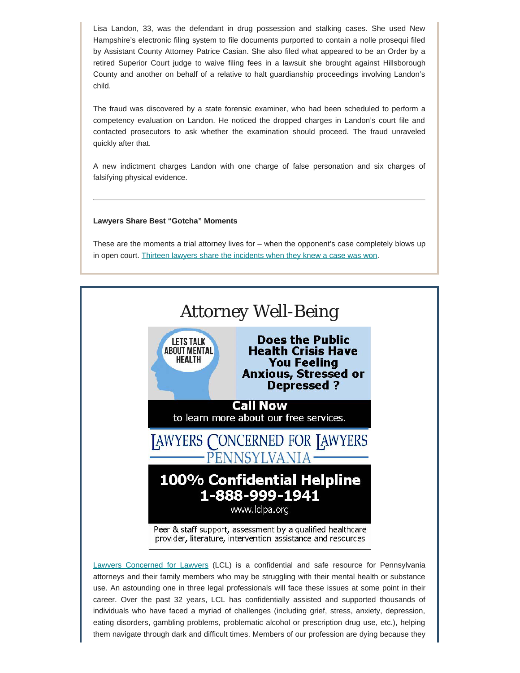Lisa Landon, 33, was the defendant in drug possession and stalking cases. She used New Hampshire's electronic filing system to file documents purported to contain a nolle prosequi filed by Assistant County Attorney Patrice Casian. She also filed what appeared to be an Order by a retired Superior Court judge to waive filing fees in a lawsuit she brought against Hillsborough County and another on behalf of a relative to halt guardianship proceedings involving Landon's child.

The fraud was discovered by a state forensic examiner, who had been scheduled to perform a competency evaluation on Landon. He noticed the dropped charges in Landon's court file and contacted prosecutors to ask whether the examination should proceed. The fraud unraveled quickly after that.

A new indictment charges Landon with one charge of false personation and six charges of falsifying physical evidence.

### **Lawyers Share Best "Gotcha" Moments**

These are the moments a trial attorney lives for – when the opponent's case completely blows up in open court. [Thirteen lawyers share the incidents when they knew a case was won.](https://www.ratemyjob.com/career/2557850/lawyers-share-their-best-gotcha-moments-in-court?fbclid=IwAR2h7Gn6TcHx_joJKjJjLqkMdexOmYgjQ6NJkusQnDKveFUeqCYGKfHRvN4)



[Lawyers Concerned for Lawyers](https://www.lclpa.org/) (LCL) is a confidential and safe resource for Pennsylvania attorneys and their family members who may be struggling with their mental health or substance use. An astounding one in three legal professionals will face these issues at some point in their career. Over the past 32 years, LCL has confidentially assisted and supported thousands of individuals who have faced a myriad of challenges (including grief, stress, anxiety, depression, eating disorders, gambling problems, problematic alcohol or prescription drug use, etc.), helping them navigate through dark and difficult times. Members of our profession are dying because they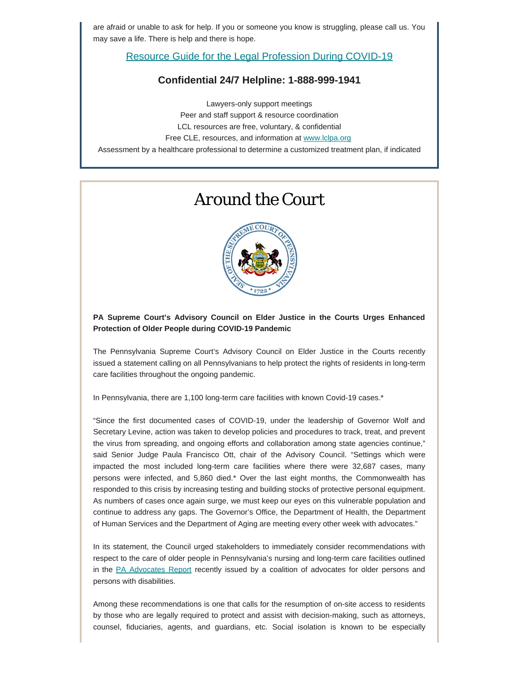are afraid or unable to ask for help. If you or someone you know is struggling, please call us. You may save a life. There is help and there is hope.

Resource Guide [for the Legal Profession During COVID-19](https://www.lclpa.org/wp-content/uploads/2020/10/LCL-PA-COVID-19-Resource-Guide-Update-Oct.Nov_.-2020.pdf)

### **Confidential 24/7 Helpline: 1-888-999-1941**

Lawyers-only support meetings Peer and staff support & resource coordination LCL resources are free, voluntary, & confidential Free CLE, resources, and information at [www.lclpa.org](https://www.lclpa.org/) Assessment by a healthcare professional to determine a customized treatment plan, if indicated

## *Around the Court*



### **PA Supreme Court's Advisory Council on Elder Justice in the Courts Urges Enhanced Protection of Older People during COVID-19 Pandemic**

The Pennsylvania Supreme Court's Advisory Council on Elder Justice in the Courts recently issued a statement calling on all Pennsylvanians to help protect the rights of residents in long-term care facilities throughout the ongoing pandemic.

In Pennsylvania, there are 1,100 long-term care facilities with known Covid-19 cases.\*

"Since the first documented cases of COVID-19, under the leadership of Governor Wolf and Secretary Levine, action was taken to develop policies and procedures to track, treat, and prevent the virus from spreading, and ongoing efforts and collaboration among state agencies continue," said Senior Judge Paula Francisco Ott, chair of the Advisory Council. "Settings which were impacted the most included long-term care facilities where there were 32,687 cases, many persons were infected, and 5,860 died.\* Over the last eight months, the Commonwealth has responded to this crisis by increasing testing and building stocks of protective personal equipment. As numbers of cases once again surge, we must keep our eyes on this vulnerable population and continue to address any gaps. The Governor's Office, the Department of Health, the Department of Human Services and the Department of Aging are meeting every other week with advocates."

In its statement, the Council urged stakeholders to immediately consider recommendations with respect to the care of older people in Pennsylvania's nursing and long-term care facilities outlined in the [PA Advocates Report](https://www.carie.org/wp-content/uploads/2020/08/Actions-Pennsylvania-Must-Take-to-Address-the-COVID-19-Crisis-in-LTC-Facilities.pdf) recently issued by a coalition of advocates for older persons and persons with disabilities.

Among these recommendations is one that calls for the resumption of on-site access to residents by those who are legally required to protect and assist with decision-making, such as attorneys, counsel, fiduciaries, agents, and guardians, etc. Social isolation is known to be especially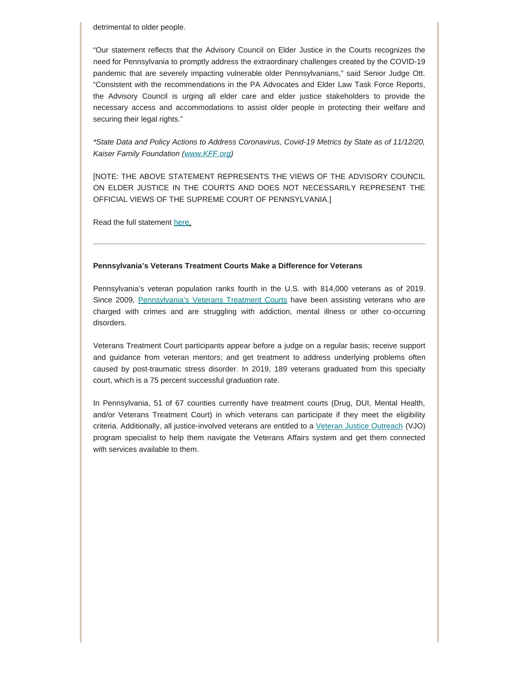detrimental to older people.

"Our statement reflects that the Advisory Council on Elder Justice in the Courts recognizes the need for Pennsylvania to promptly address the extraordinary challenges created by the COVID-19 pandemic that are severely impacting vulnerable older Pennsylvanians," said Senior Judge Ott. "Consistent with the recommendations in the PA Advocates and Elder Law Task Force Reports, the Advisory Council is urging all elder care and elder justice stakeholders to provide the necessary access and accommodations to assist older people in protecting their welfare and securing their legal rights."

*\*State Data and Policy Actions to Address Coronavirus, Covid-19 Metrics by State as of 11/12/20, Kaiser Family Foundation [\(www.KFF.org](http://www.kff.org/))*

[NOTE: THE ABOVE STATEMENT REPRESENTS THE VIEWS OF THE ADVISORY COUNCIL ON ELDER JUSTICE IN THE COURTS AND DOES NOT NECESSARILY REPRESENT THE OFFICIAL VIEWS OF THE SUPREME COURT OF PENNSYLVANIA.]

Read the full statement [here](http://www.pacourts.us/assets/files/resource-118070/file-10794.pdf).

#### **Pennsylvania's Veterans Treatment Courts Make a Difference for Veterans**

Pennsylvania's veteran population ranks fourth in the U.S. with 814,000 veterans as of 2019. Since 2009, [Pennsylvania's Veterans Treatment Courts](http://www.pacourts.us/judicial-administration/court-programs/problem-solving-courts) have been assisting veterans who are charged with crimes and are struggling with addiction, mental illness or other co-occurring disorders.

Veterans Treatment Court participants appear before a judge on a regular basis; receive support and guidance from veteran mentors; and get treatment to address underlying problems often caused by post-traumatic stress disorder. In 2019, 189 veterans graduated from this specialty court, which is a 75 percent successful graduation rate.

In Pennsylvania, 51 of 67 counties currently have treatment courts (Drug, DUI, Mental Health, and/or Veterans Treatment Court) in which veterans can participate if they meet the eligibility criteria. Additionally, all justice-involved veterans are entitled to a [Veteran Justice Outreach](https://www.va.gov/HOMELESS/VJO.asp) (VJO) program specialist to help them navigate the Veterans Affairs system and get them connected with services available to them.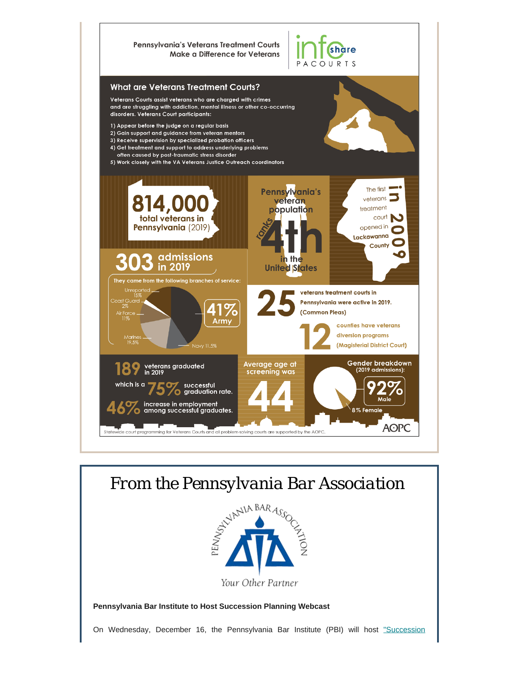